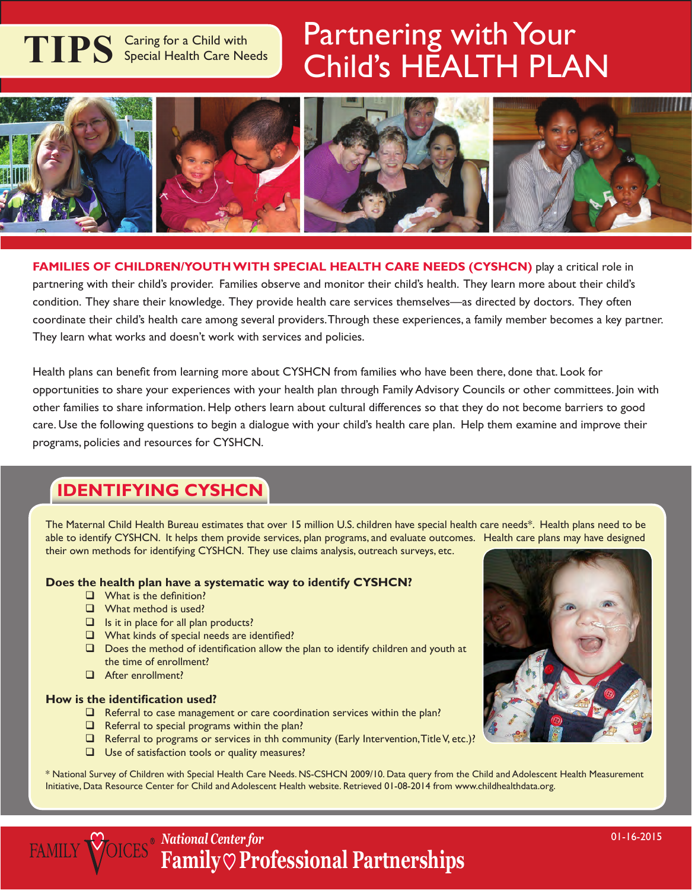# **TIPS** Caring for a Child with Special Health Care Needs

## Partnering with Your Child's HEALTH PLAN



**FAMILIES OF CHILDREN/YOUTH WITH SPECIAL HEALTH CARE NEEDS (CYSHCN)** play a critical role in partnering with their child's provider. Families observe and monitor their child's health. They learn more about their child's condition. They share their knowledge. They provide health care services themselves—as directed by doctors. They often coordinate their child's health care among several providers. Through these experiences, a family member becomes a key partner. They learn what works and doesn't work with services and policies.

Health plans can benefit from learning more about CYSHCN from families who have been there, done that. Look for opportunities to share your experiences with your health plan through Family Advisory Councils or other committees. Join with other families to share information. Help others learn about cultural differences so that they do not become barriers to good care. Use the following questions to begin a dialogue with your child's health care plan. Help them examine and improve their programs, policies and resources for CYSHCN.

## **Identifying CYSHCN**

The Maternal Child Health Bureau estimates that over 15 million U.S. children have special health care needs\*. Health plans need to be able to identify CYSHCN. It helps them provide services, plan programs, and evaluate outcomes. Health care plans may have designed their own methods for identifying CYSHCN. They use claims analysis, outreach surveys, etc.

#### **Does the health plan have a systematic way to identify CYSHCN?**

- $\Box$  What is the definition?
- **Q** What method is used?
- $\Box$  Is it in place for all plan products?
- What kinds of special needs are identified?
- $\Box$  Does the method of identification allow the plan to identify children and youth at the time of enrollment?
- After enrollment?

#### **How is the identification used?**

**FAMILY V** 

- $\Box$  Referral to case management or care coordination services within the plan?
- $\Box$  Referral to special programs within the plan?
- $\Box$  Referral to programs or services in thh community (Early Intervention, Title V, etc.)?
- $\Box$  Use of satisfaction tools or quality measures?

\* National Survey of Children with Special Health Care Needs. NS-CSHCN 2009/10. Data query from the Child and Adolescent Health Measurement Initiative, Data Resource Center for Child and Adolescent Health website. Retrieved 01-08-2014 from www.childhealthdata.org.



*National Center for* **Family Professional Partnerships**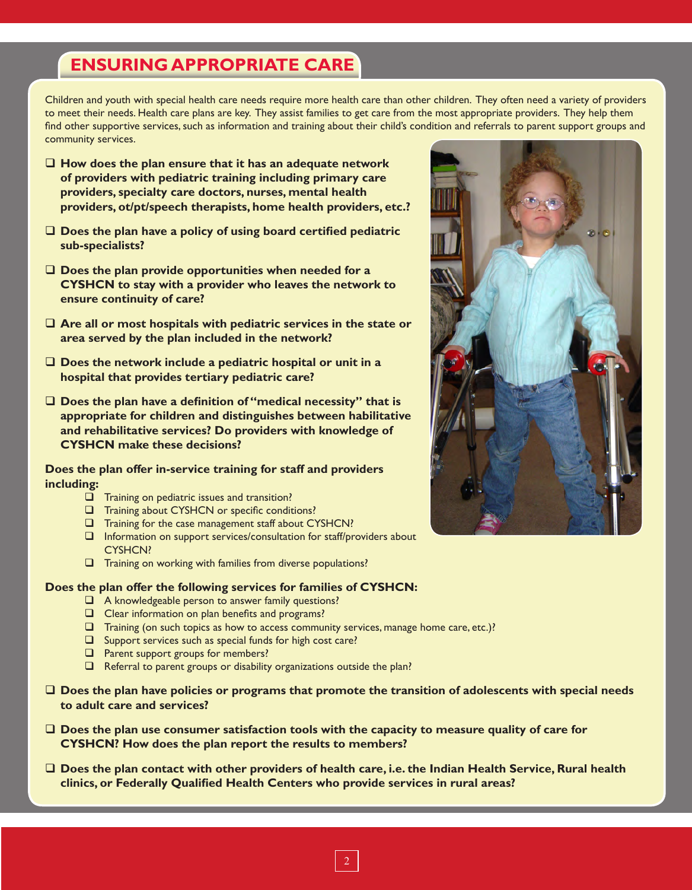## **Ensuring Appropriate Care**

Children and youth with special health care needs require more health care than other children. They often need a variety of providers to meet their needs. Health care plans are key. They assist families to get care from the most appropriate providers. They help them find other supportive services, such as information and training about their child's condition and referrals to parent support groups and community services.

- **How does the plan ensure that it has an adequate network of providers with pediatric training including primary care providers, specialty care doctors, nurses, mental health providers, ot/pt/speech therapists, home health providers, etc.?**
- **Does the plan have a policy of using board certified pediatric sub-specialists?**
- **Does the plan provide opportunities when needed for a CYSHCN to stay with a provider who leaves the network to ensure continuity of care?**
- **Are all or most hospitals with pediatric services in the state or area served by the plan included in the network?**
- **Does the network include a pediatric hospital or unit in a hospital that provides tertiary pediatric care?**
- **Does the plan have a definition of "medical necessity" that is appropriate for children and distinguishes between habilitative and rehabilitative services? Do providers with knowledge of CYSHCN make these decisions?**

#### **Does the plan offer in-service training for staff and providers including:**

- $\Box$  Training on pediatric issues and transition?
- **T** Training about CYSHCN or specific conditions?
- Training for the case management staff about CYSHCN?
- Information on support services/consultation for staff/providers about CYSHCN?
- Training on working with families from diverse populations?

#### **Does the plan offer the following services for families of CYSHCN:**

- A knowledgeable person to answer family questions?
- $\Box$  Clear information on plan benefits and programs?
- $\square$  Training (on such topics as how to access community services, manage home care, etc.)?
- $\square$  Support services such as special funds for high cost care?
- $\Box$  Parent support groups for members?
- $\Box$  Referral to parent groups or disability organizations outside the plan?
- **Does the plan have policies or programs that promote the transition of adolescents with special needs to adult care and services?**
- **Does the plan use consumer satisfaction tools with the capacity to measure quality of care for CYSHCN? How does the plan report the results to members?**
- **Does the plan contact with other providers of health care, i.e. the Indian Health Service, Rural health clinics, or Federally Qualified Health Centers who provide services in rural areas?**



2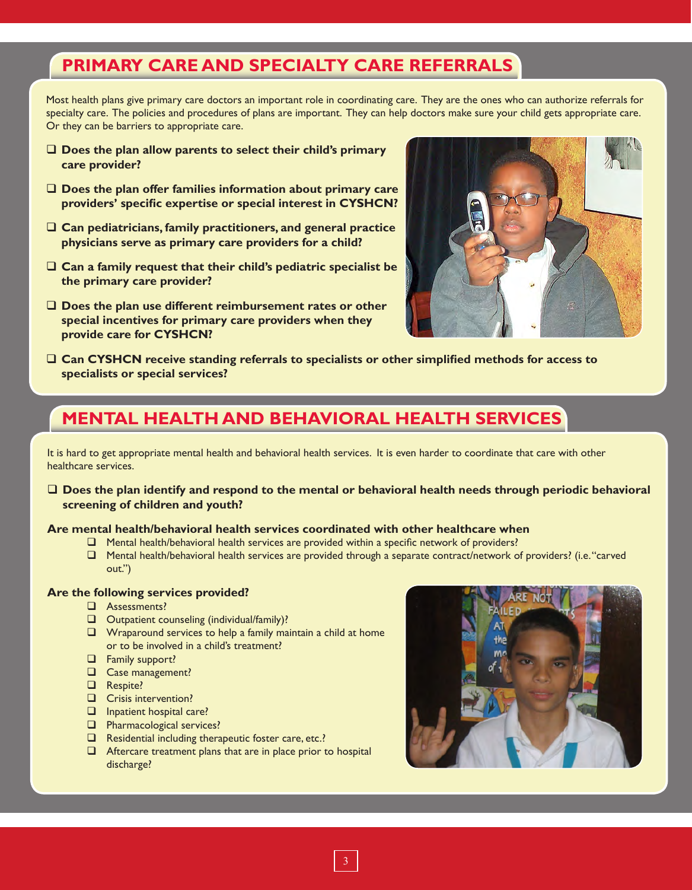## **Primary Care and Specialty Care Referrals**

Most health plans give primary care doctors an important role in coordinating care. They are the ones who can authorize referrals for specialty care. The policies and procedures of plans are important. They can help doctors make sure your child gets appropriate care. Or they can be barriers to appropriate care.

- **Does the plan allow parents to select their child's primary care provider?**
- **Does the plan offer families information about primary care providers' specific expertise or special interest in CYSHCN?**
- **Can pediatricians, family practitioners, and general practice physicians serve as primary care providers for a child?**
- **Can a family request that their child's pediatric specialist be the primary care provider?**
- **Does the plan use different reimbursement rates or other special incentives for primary care providers when they provide care for CYSHCN?**



 **Can CYSHCN receive standing referrals to specialists or other simplified methods for access to specialists or special services?**

## **Mental Health and Behavioral Health Services**

It is hard to get appropriate mental health and behavioral health services. It is even harder to coordinate that care with other healthcare services.

 **Does the plan identify and respond to the mental or behavioral health needs through periodic behavioral screening of children and youth?**

#### **Are mental health/behavioral health services coordinated with other healthcare when**

- $\Box$  Mental health/behavioral health services are provided within a specific network of providers?
- Mental health/behavioral health services are provided through a separate contract/network of providers? (i.e. "carved out.")

#### **Are the following services provided?**

- Assessments?
- Outpatient counseling (individual/family)?
- $\Box$  Wraparound services to help a family maintain a child at home or to be involved in a child's treatment?
- **Examily support?**
- Case management?
- Respite?
- **Q** Crisis intervention?
- **Inpatient hospital care?**
- **Pharmacological services?**
- $\Box$  Residential including therapeutic foster care, etc.?
- $\Box$  Aftercare treatment plans that are in place prior to hospital discharge?

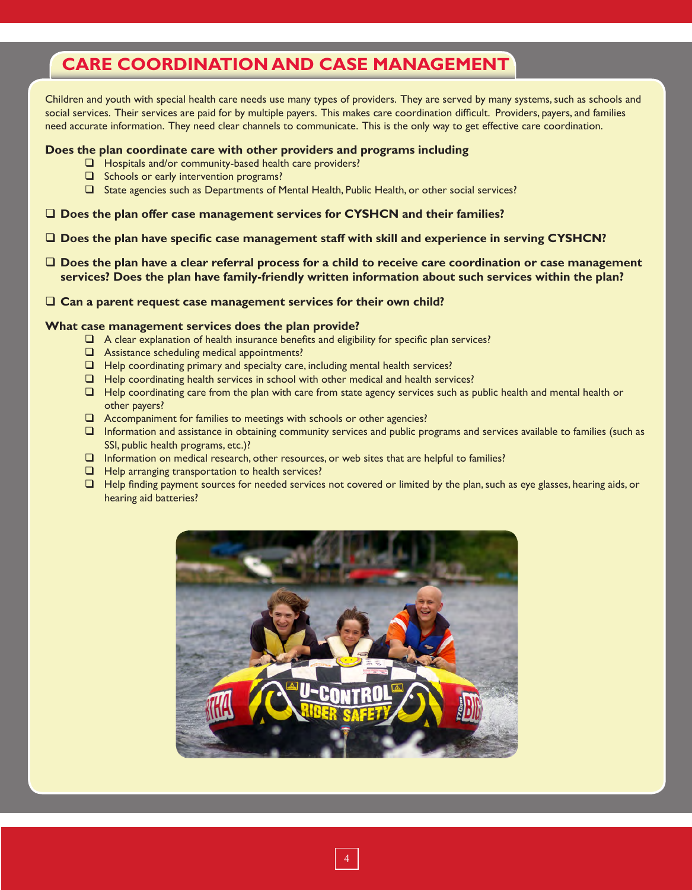## **Care Coordination and Case Management**

Children and youth with special health care needs use many types of providers. They are served by many systems, such as schools and social services. Their services are paid for by multiple payers. This makes care coordination difficult. Providers, payers, and families need accurate information. They need clear channels to communicate. This is the only way to get effective care coordination.

#### **Does the plan coordinate care with other providers and programs including**

- $\Box$  Hospitals and/or community-based health care providers?
- $\Box$  Schools or early intervention programs?
- State agencies such as Departments of Mental Health, Public Health, or other social services?
- **Does the plan offer case management services for CYSHCN and their families?**
- **Does the plan have specific case management staff with skill and experience in serving CYSHCN?**
- **Does the plan have a clear referral process for a child to receive care coordination or case management services? Does the plan have family-friendly written information about such services within the plan?**

#### **Can a parent request case management services for their own child?**

#### **What case management services does the plan provide?**

- $\Box$  A clear explanation of health insurance benefits and eligibility for specific plan services?
- $\Box$  Assistance scheduling medical appointments?
- $\Box$  Help coordinating primary and specialty care, including mental health services?
- $\Box$  Help coordinating health services in school with other medical and health services?
- $\Box$  Help coordinating care from the plan with care from state agency services such as public health and mental health or other payers?
- Accompaniment for families to meetings with schools or other agencies?
- Information and assistance in obtaining community services and public programs and services available to families (such as SSI, public health programs, etc.)?
- Information on medical research, other resources, or web sites that are helpful to families?
- $\Box$  Help arranging transportation to health services?
- □ Help finding payment sources for needed services not covered or limited by the plan, such as eye glasses, hearing aids, or hearing aid batteries?

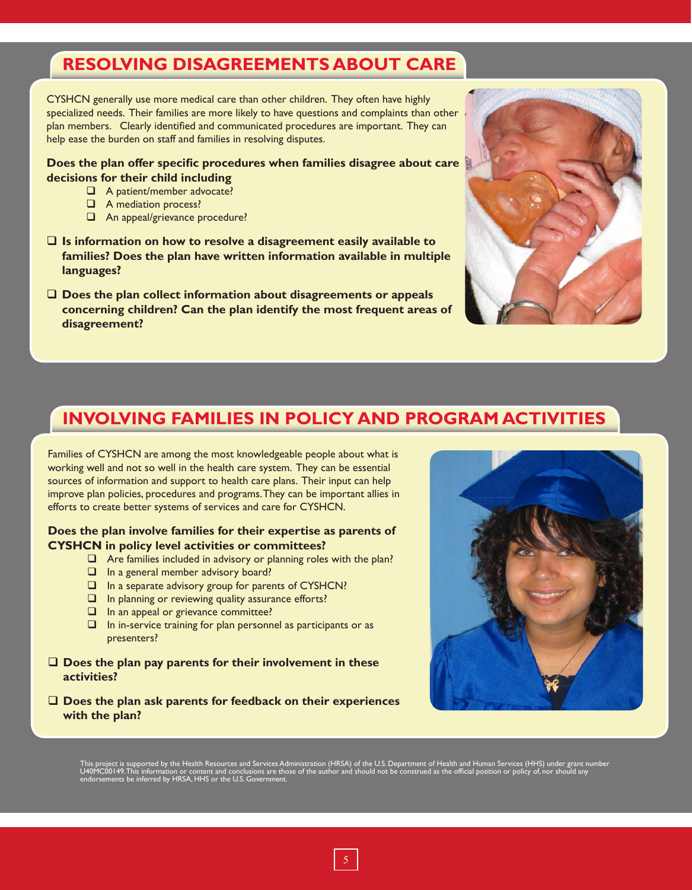## **Resolving Disagreements about Care**

CYSHCN generally use more medical care than other children. They often have highly specialized needs. Their families are more likely to have questions and complaints than other plan members. Clearly identified and communicated procedures are important. They can help ease the burden on staff and families in resolving disputes.

**Does the plan offer specific procedures when families disagree about care decisions for their child including**

- A patient/member advocate?
- **A** mediation process?
- An appeal/grievance procedure?
- **Is information on how to resolve a disagreement easily available to families? Does the plan have written information available in multiple languages?**
- **Does the plan collect information about disagreements or appeals concerning children? Can the plan identify the most frequent areas of disagreement?**



### **Involving Families in Policy and Program Ac tivities**

Families of CYSHCN are among the most knowledgeable people about what is working well and not so well in the health care system. They can be essential sources of information and support to health care plans. Their input can help improve plan policies, procedures and programs. They can be important allies in efforts to create better systems of services and care for CYSHCN.

#### **Does the plan involve families for their expertise as parents of CYSHCN in policy level activities or committees?**

- $\Box$  Are families included in advisory or planning roles with the plan?
- $\Box$  In a general member advisory board?
- $\Box$  In a separate advisory group for parents of CYSHCN?
- $\Box$  In planning or reviewing quality assurance efforts?
- $\Box$  In an appeal or grievance committee?
- $\Box$  In in-service training for plan personnel as participants or as presenters?
- **Does the plan pay parents for their involvement in these activities?**
- **Does the plan ask parents for feedback on their experiences with the plan?**



This project is supported by the Health Resources and Services Administration (HRSA) of the U.S. Department of Health and Human Services (HHS) under grant number<br>U40MC00149.This information or content and conclusions are t